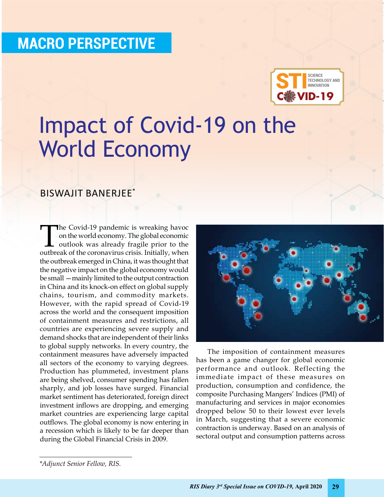### **Macro Perspective**



## Impact of Covid-19 on the World Economy

#### Biswajit Banerjee\*

**The Covid-19 pandemic is wreaking havoc** on the world economy. The global economic outlook was already fragile prior to the outbreak of the coronavirus crisis. Initially, when the outbreak emerged in China, it was thought that the negative impact on the global economy would be small —mainly limited to the output contraction in China and its knock-on effect on global supply chains, tourism, and commodity markets. However, with the rapid spread of Covid-19 across the world and the consequent imposition of containment measures and restrictions, all countries are experiencing severe supply and demand shocks that are independent of their links to global supply networks. In every country, the containment measures have adversely impacted all sectors of the economy to varying degrees. Production has plummeted, investment plans are being shelved, consumer spending has fallen sharply, and job losses have surged. Financial market sentiment has deteriorated, foreign direct investment inflows are dropping, and emerging market countries are experiencing large capital outflows. The global economy is now entering in a recession which is likely to be far deeper than during the Global Financial Crisis in 2009.



The imposition of containment measures has been a game changer for global economic performance and outlook. Reflecting the immediate impact of these measures on production, consumption and confidence, the composite Purchasing Mangers' Indices (PMI) of manufacturing and services in major economies dropped below 50 to their lowest ever levels in March, suggesting that a severe economic contraction is underway. Based on an analysis of sectoral output and consumption patterns across

*<sup>\*</sup>Adjunct Senior Fellow, RIS.*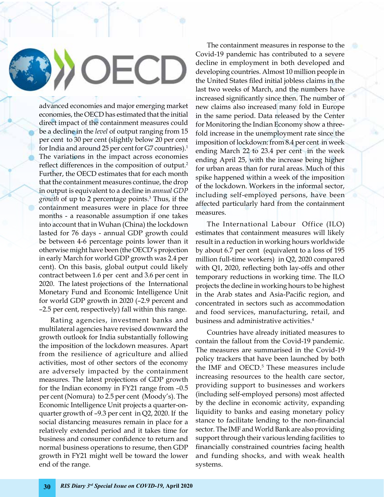# OECD

advanced economies and major emerging market economies, the OECD has estimated that the initial direct impact of the containment measures could be a decline in the *level* of output ranging from 15 per cent to 30 per cent (slightly below 20 per cent for India and around 25 per cent for G7 countries).<sup>1</sup> The variations in the impact across economies reflect differences in the composition of output.<sup>2</sup> Further, the OECD estimates that for each month that the containment measures continue, the drop in output is equivalent to a decline in *annual GDP growth* of up to 2 percentage points.3 Thus, if the containment measures were in place for three months - a reasonable assumption if one takes into account that in Wuhan (China) the lockdown lasted for 76 days - annual GDP growth could be between 4-6 percentage points lower than it otherwise might have been (the OECD's projection in early March for world GDP growth was 2.4 per cent). On this basis, global output could likely contract between 1.6 per cent and 3.6 per cent in 2020. The latest projections of the International Monetary Fund and Economic Intelligence Unit for world GDP growth in 2020 (–2.9 percent and –2.5 per cent, respectively) fall within this range.

Rating agencies, investment banks and multilateral agencies have revised downward the growth outlook for India substantially following the imposition of the lockdown measures. Apart from the resilience of agriculture and allied activities, most of other sectors of the economy are adversely impacted by the containment measures. The latest projections of GDP growth for the Indian economy in FY21 range from –0.5 per cent (Nomura) to 2.5 per cent (Moody's). The Economic Intelligence Unit projects a quarter-onquarter growth of –9.3 per cent in Q2, 2020. If the social distancing measures remain in place for a relatively extended period and it takes time for business and consumer confidence to return and normal business operations to resume, then GDP growth in FY21 might well be toward the lower end of the range.

The containment measures in response to the Covid-19 pandemic has contributed to a severe decline in employment in both developed and developing countries. Almost 10 million people in the United States filed initial jobless claims in the last two weeks of March, and the numbers have increased significantly since then. The number of new claims also increased many fold in Europe in the same period. Data released by the Center for Monitoring the Indian Economy show a threefold increase in the unemployment rate since the imposition of lockdown: from 8.4 per cent in week ending March 22 to 23.4 per cent in the week ending April 25, with the increase being higher for urban areas than for rural areas. Much of this spike happened within a week of the imposition of the lockdown. Workers in the informal sector, including self-employed persons, have been affected particularly hard from the containment measures.

The International Labour Office (ILO) estimates that containment measures will likely result in a reduction in working hours worldwide by about 6.7 per cent (equivalent to a loss of 195 million full-time workers) in Q2, 2020 compared with Q1, 2020, reflecting both lay-offs and other temporary reductions in working time. The ILO projects the decline in working hours to be highest in the Arab states and Asia-Pacific region, and concentrated in sectors such as accommodation and food services, manufacturing, retail, and business and administrative activities.4

Countries have already initiated measures to contain the fallout from the Covid-19 pandemic. The measures are summarised in the Covid-19 policy trackers that have been launched by both the IMF and OECD.<sup>5</sup> These measures include increasing resources to the health care sector, providing support to businesses and workers (including self-employed persons) most affected by the decline in economic activity, expanding liquidity to banks and easing monetary policy stance to facilitate lending to the non-financial sector. The IMF and World Bank are also providing support through their various lending facilities to financially constrained countries facing health and funding shocks, and with weak health systems.